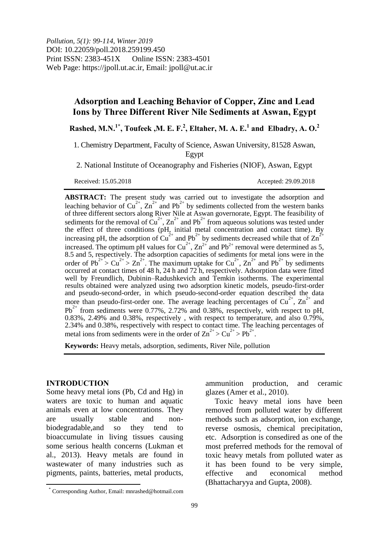*Pollution, 5(1): 99-114, Winter 2019* DOI: 10.22059/poll.2018.259199.450 Print ISSN: 2383-451X Online ISSN: 2383-4501 Web Page: https://jpoll.ut.ac.ir, Email: jpoll@ut.ac.ir

# **Adsorption and Leaching Behavior of Copper, Zinc and Lead Ions by Three Different River Nile Sediments at Aswan, Egypt**

**Rashed, M.N.1\* , Toufeek ,M. E. F.<sup>2</sup> , Eltaher, M. A. E.<sup>1</sup> and Elbadry, A. O.<sup>2</sup>**

1. Chemistry Department, Faculty of Science, Aswan University, 81528 Aswan, Egypt

2. National Institute of Oceanography and Fisheries (NIOF), Aswan, Egypt

Received: 15.05.2018 Accepted: 29.09.2018

**ABSTRACT:** The present study was carried out to investigate the adsorption and leaching behavior of  $Cu^{2+}$ ,  $Zn^{2+}$  and Pb<sup>2+</sup> by sediments collected from the western banks of three different sectors along River Nile at Aswan governorate, Egypt. The feasibility of sediments for the removal of Cu<sup>2+</sup>, Zn<sup>2+</sup> and Pb<sup>2+</sup> from aqueous solutions was tested under the effect of three conditions (pH, initial metal concentration and contact time). By increasing pH, the adsorption of  $\overline{Cu}^{2+}$  and  $Pb^{2+}$  by sediments decreased while that of  $\overline{Zn}^{2+}$ increased. The optimum pH values for  $Cu^{2+}$ ,  $Zn^{2+}$  and Pb<sup>2+</sup> removal were determined as 5, 8.5 and 5, respectively. The adsorption capacities of sediments for metal ions were in the order of Pb<sup>2+</sup> > Cu<sup>2+</sup> > Zn<sup>2+</sup>. The maximum uptake for Cu<sup>2+</sup>, Zn<sup>2+</sup> and Pb<sup>2+</sup> by sediments occurred at contact times of 48 h, 24 h and 72 h, respectively. Adsorption data were fitted well by Freundlich, Dubinin–Radushkevich and Temkin isotherms. The experimental results obtained were analyzed using two adsorption kinetic models, pseudo-first-order and pseudo-second-order, in which pseudo-second-order equation described the data more than pseudo-first-order one. The average leaching percentages of  $Cu^{2+}$ ,  $Zn^{2+}$  and  $Pb^{2+}$  from sediments were 0.77%, 2.72% and 0.38%, respectively, with respect to pH, 0.83%, 2.49% and 0.38%, respectively , with respect to temperature, and also 0.79%, 2.34% and 0.38%, respectively with respect to contact time. The leaching percentages of metal ions from sediments were in the order of  $\text{Zn}^{2+} > \text{Cu}^{2+} > \text{Pb}^{2+}$ .

**Keywords:** Heavy metals, adsorption, sediments, River Nile, pollution

### **INTRODUCTION**

 $\overline{a}$ 

Some heavy metal ions (Pb, Cd and Hg) in waters are toxic to human and aquatic animals even at low concentrations. They are usually stable and nonbiodegradable,and so they tend to bioaccumulate in living tissues causing some serious health concerns (Lukman et al., 2013). Heavy metals are found in wastewater of many industries such as pigments, paints, batteries, metal products, ammunition production, and ceramic glazes (Amer et al., 2010).

Toxic heavy metal ions have been removed from polluted water by different methods such as adsorption, ion exchange, reverse osmosis, chemical precipitation, etc. Adsorption is consedired as one of the most preferred methods for the removal of toxic heavy metals from polluted water as it has been found to be very simple, effective and economical method (Bhattacharyya and Gupta, 2008).

<sup>\*</sup> Corresponding Author, Email: mnrashed@hotmail.com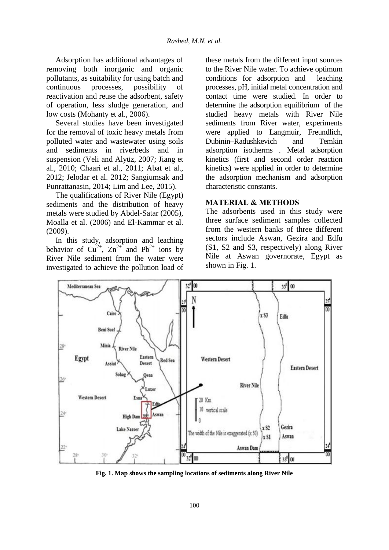Adsorption has additional advantages of removing both inorganic and organic pollutants, as suitability for using batch and continuous processes, possibility of reactivation and reuse the adsorbent, safety of operation, less sludge generation, and low costs (Mohanty et al., 2006).

Several studies have been investigated for the removal of toxic heavy metals from polluted water and wastewater using soils and sediments in riverbeds and in suspension (Veli and Alyüz, 2007; Jiang et al., 2010; Chaari et al., 2011; Abat et al., 2012; Jelodar et al. 2012; Sangiumsak and Punrattanasin, 2014; Lim and Lee, 2015).

The qualifications of River Nile (Egypt) sediments and the distribution of heavy metals were studied by Abdel-Satar (2005), Moalla et al. (2006) and El-Kammar et al. (2009).

In this study, adsorption and leaching behavior of  $Cu^{2+}$ ,  $Zn^{2+}$  and  $Pb^{2+}$  ions by River Nile sediment from the water were investigated to achieve the pollution load of these metals from the different input sources to the River Nile water. To achieve optimum conditions for adsorption and leaching processes, pH, initial metal concentration and contact time were studied. In order to determine the adsorption equilibrium of the studied heavy metals with River Nile sediments from River water, experiments were applied to Langmuir, Freundlich, Dubinin–Radushkevich and Temkin adsorption isotherms . Metal adsorption kinetics (first and second order reaction kinetics) were applied in order to determine the adsorption mechanism and adsorption characteristic constants.

### **MATERIAL & METHODS**

The adsorbents used in this study were three surface sediment samples collected from the western banks of three different sectors include Aswan, Gezira and Edfu (S1, S2 and S3, respectively) along River Nile at Aswan governorate, Egypt as shown in Fig. 1.



**Fig. 1. Map shows the sampling locations of sediments along River Nile**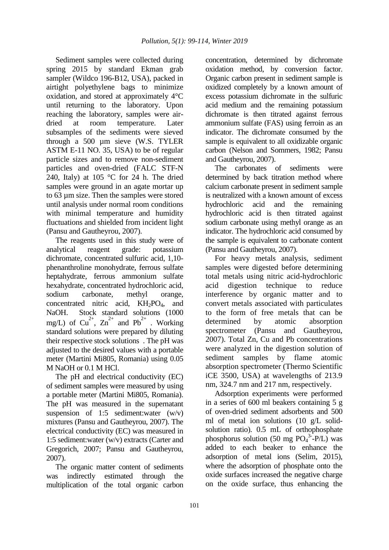Sediment samples were collected during spring 2015 by standard Ekman grab sampler (Wildco 196-B12, USA), packed in airtight polyethylene bags to minimize oxidation, and stored at approximately 4°C until returning to the laboratory. Upon reaching the laboratory, samples were airdried at room temperature. Later subsamples of the sediments were sieved through a 500 µm sieve (W.S. TYLER ASTM E-11 NO. 35, USA) to be of regular particle sizes and to remove non-sediment particles and oven-dried (FALC STF-N 240, Italy) at 105  $\degree$ C for 24 h. The dried samples were ground in an agate mortar up to 63 µm size. Then the samples were stored until analysis under normal room conditions with minimal temperature and humidity fluctuations and shielded from incident light (Pansu and Gautheyrou, 2007).

The reagents used in this study were of analytical reagent grade: potassium dichromate, concentrated sulfuric acid, 1,10 phenanthroline monohydrate, ferrous sulfate heptahydrate, ferrous ammonium sulfate hexahydrate, concentrated hydrochloric acid, sodium carbonate, methyl orange, concentrated nitric acid,  $KH_2PO_4$ , and NaOH. Stock standard solutions (1000 mg/L) of  $Cu^{2+}$ ,  $Zn^{2+}$  and  $Pb^{2+}$ . Working standard solutions were prepared by diluting their respective stock solutions . The pH was adjusted to the desired values with a portable meter (Martini Mi805, Romania) using 0.05 M NaOH or 0.1 M HCl.

The pH and electrical conductivity (EC) of sediment samples were measured by using a portable meter (Martini Mi805, Romania). The pH was measured in the supernatant suspension of 1:5 sediment:water  $(w/v)$ mixtures (Pansu and Gautheyrou, 2007). The electrical conductivity (EC) was measured in 1:5 sediment:water (w/v) extracts (Carter and Gregorich, 2007; Pansu and Gautheyrou, 2007).

The organic matter content of sediments was indirectly estimated through the multiplication of the total organic carbon

concentration, determined by dichromate oxidation method, by conversion factor. Organic carbon present in sediment sample is oxidized completely by a known amount of excess potassium dichromate in the sulfuric acid medium and the remaining potassium dichromate is then titrated against ferrous ammonium sulfate (FAS) using ferroin as an indicator. The dichromate consumed by the sample is equivalent to all oxidizable organic carbon (Nelson and Sommers, 1982; Pansu and Gautheyrou, 2007).

The carbonates of sediments were determined by back titration method where calcium carbonate present in sediment sample is neutralized with a known amount of excess hydrochloric acid and the remaining hydrochloric acid is then titrated against sodium carbonate using methyl orange as an indicator. The hydrochloric acid consumed by the sample is equivalent to carbonate content (Pansu and Gautheyrou, 2007).

For heavy metals analysis, sediment samples were digested before determining total metals using nitric acid-hydrochloric acid digestion technique to reduce interference by organic matter and to convert metals associated with particulates to the form of free metals that can be determined by atomic absorption spectrometer (Pansu and Gautheyrou, 2007). Total Zn, Cu and Pb concentrations were analyzed in the digestion solution of sediment samples by flame atomic absorption spectrometer (Thermo Scientific iCE 3500, USA) at wavelengths of 213.9 nm, 324.7 nm and 217 nm, respectively.

Adsorption experiments were performed in a series of 600 ml beakers containing 5 g of oven-dried sediment adsorbents and 500 ml of metal ion solutions (10 g/L solidsolution ratio). 0.5 mL of orthophosphate phosphorus solution (50 mg  $PO<sub>4</sub><sup>3</sup>-P/L$ ) was added to each beaker to enhance the adsorption of metal ions (Selim, 2015), where the adsorption of phosphate onto the oxide surfaces increased the negative charge on the oxide surface, thus enhancing the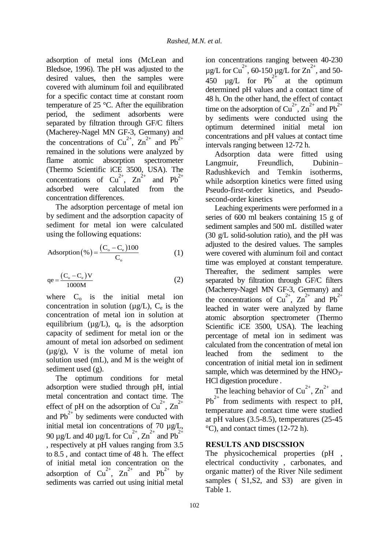adsorption of metal ions (McLean and Bledsoe, 1996). The pH was adjusted to the desired values, then the samples were covered with aluminum foil and equilibrated for a specific contact time at constant room temperature of 25 °C. After the equilibration period, the sediment adsorbents were separated by filtration through GF/C filters (Macherey-Nagel MN GF-3, Germany) and the concentrations of  $Cu^{2+}$ ,  $Zn^{2+}$  and  $Pb^{2+}$ remained in the solutions were analyzed by flame atomic absorption spectrometer (Thermo Scientific iCE 3500, USA). The concentrations of  $Cu^{2+}$ ,  $Zn^{2+}$  and Pb<sup>2+</sup> adsorbed were calculated from the concentration differences.

The adsorption percentage of metal ion by sediment and the adsorption capacity of sediment for metal ion were calculated using the following equations:

Adsorption (%) = 
$$
\frac{(C_o - C_e)100}{C_o}
$$
 (1)

$$
qe = \frac{(C_o - C_e)V}{1000M}
$$
 (2)

where  $C_0$  is the initial metal ion concentration in solution ( $\mu$ g/L), C<sub>e</sub> is the concentration of metal ion in solution at equilibrium ( $\mu$ g/L), q<sub>e</sub> is the adsorption capacity of sediment for metal ion or the amount of metal ion adsorbed on sediment  $(\mu g/g)$ , V is the volume of metal ion solution used (mL), and M is the weight of sediment used (g).

The optimum conditions for metal adsorption were studied through pH, intial metal concentration and contact time. The effect of pH on the adsorption of  $Cu^{2+}$ ,  $Zn^{2+}$ and  $Pb^{2+}$  by sediments were conducted with initial metal ion concentrations of 70  $\mu$ g/L, 90 µg/L and 40 µg/L for  $Cu^{2+}$ ,  $Zn^{2+}$  and  $Pb^{2+}$ , respectively at pH values ranging from 3.5 to 8.5 , and contact time of 48 h. The effect of initial metal ion concentration on the adsorption of  $Cu^{2+}$ ,  $Zn^{2+}$  and  $Pb^{2+}$  by sediments was carried out using initial metal ion concentrations ranging between 40-230  $\mu$ g/L for Cu<sup>2+</sup>, 60-150  $\mu$ g/L for Zn<sup>2+</sup>, and 50-450  $\mu$ g/L for Pb<sup>2+</sup> at the optimum determined pH values and a contact time of 48 h. On the other hand, the effect of contact time on the adsorption of  $Cu^{2+}$ ,  $Zn^{2+}$  and Pb<sup>2+</sup> by sediments were conducted using the optimum determined initial metal ion concentrations and pH values at contact time intervals ranging between 12-72 h.

Adsorption data were fitted using Langmuir, Freundlich, Dubinin– Radushkevich and Temkin isotherms, while adsorption kinetics were fitted using Pseudo-first-order kinetics, and Pseudosecond-order kinetics

Leaching experiments were performed in a series of 600 ml beakers containing 15 g of sediment samples and 500 mL distilled water (30 g/L solid-solution ratio), and the pH was adjusted to the desired values. The samples were covered with aluminum foil and contact time was employed at constant temperature. Thereafter, the sediment samples were separated by filtration through GF/C filters (Macherey-Nagel MN GF-3, Germany) and the concentrations of  $Cu^{2+}$ ,  $Zn^{2+}$  and  $Pb^{2+}$ leached in water were analyzed by flame atomic absorption spectrometer (Thermo Scientific iCE 3500, USA). The leaching percentage of metal ion in sediment was calculated from the concentration of metal ion leached from the sediment to the concentration of initial metal ion in sediment sample, which was determined by the  $HNO<sub>3</sub>$ -HCl digestion procedure .

The leaching behavior of  $Cu^{2+}$ ,  $Zn^{2+}$  and  $Pb^{2+}$  from sediments with respect to pH, temperature and contact time were studied at pH values (3.5-8.5), temperatures (25-45 °C), and contact times (12-72 h).

# **RESULTS AND DISCSSION**

The physicochemical properties (pH , electrical conductivity , carbonates, and organic matter) of the River Nile sediment samples ( $S1, S2$ , and S3) are given in Table 1.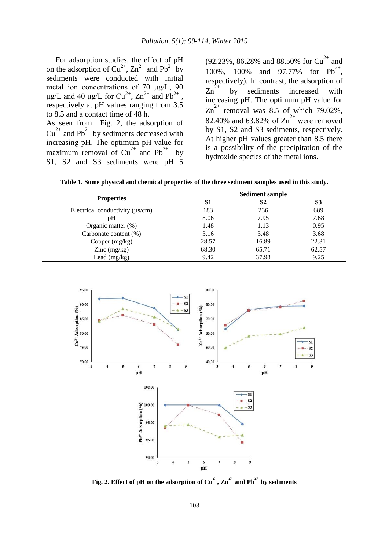For adsorption studies, the effect of pH on the adsorption of  $Cu^{2+}$ ,  $Zn^{2+}$  and  $Pb^{2+}$  by sediments were conducted with initial metal ion concentrations of 70 μg/L, 90 μg/L and 40 μg/L for Cu<sup>2+</sup>,  $Zn^{2+}$  and Pb<sup>2+</sup>, respectively at pH values ranging from 3.5 to 8.5 and a contact time of 48 h. As seen from Fig. 2, the adsorption of

 $Cu^{2+}$  and Pb<sup>2+</sup> by sediments decreased with increasing pH. The optimum pH value for maximum removal of  $Cu^{2+}$  and Pb<sup>2+</sup> by S1, S2 and S3 sediments were pH 5

(92.23%, 86.28% and 88.50% for  $Cu^{2+}$  and 100%, 100% and 97.77% for  $Pb^{2+}$ , respectively). In contrast, the adsorption of  $\text{Zn}^{2+}$  by sediments increased with increasing pH. The optimum pH value for  $Zn^{2+}$  removal was 8.5 of which 79.02%, 82.40% and 63.82% of  $\text{Zn}^{2+}$  were removed by S1, S2 and S3 sediments, respectively. At higher pH values greater than 8.5 there is a possibility of the precipitation of the hydroxide species of the metal ions.

**Table 1. Some physical and chemical properties of the three sediment samples used in this study.**

|                                      | <b>Sediment sample</b> |                |       |  |  |  |
|--------------------------------------|------------------------|----------------|-------|--|--|--|
| <b>Properties</b>                    | S1                     | S <sub>2</sub> | S3    |  |  |  |
| Electrical conductivity $(\mu s/cm)$ | 183                    | 236            | 689   |  |  |  |
| pΗ                                   | 8.06                   | 7.95           | 7.68  |  |  |  |
| Organic matter $(\%)$                | 1.48                   | 1.13           | 0.95  |  |  |  |
| Carbonate content (%)                | 3.16                   | 3.48           | 3.68  |  |  |  |
| Copper $(mg/kg)$                     | 28.57                  | 16.89          | 22.31 |  |  |  |
| $\text{Zinc}$ (mg/kg)                | 68.30                  | 65.71          | 62.57 |  |  |  |
| Lead $(mg/kg)$                       | 9.42                   | 37.98          | 9.25  |  |  |  |



**Fig. 2. Effect of pH** on the adsorption of  $Cu^{2+}$ ,  $Zn^{2+}$  and  $Pb^{2+}$  by sediments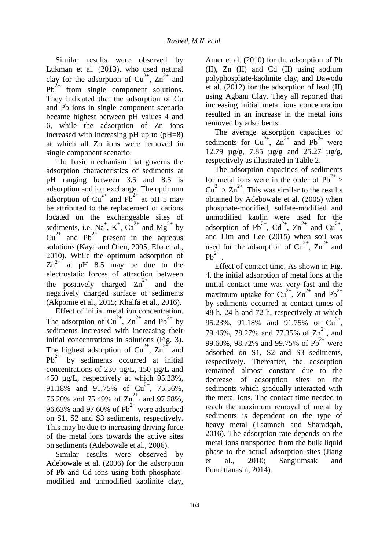Similar results were observed by Lukman et al. (2013), who used natural clay for the adsorption of  $Cu^{2+}$ ,  $Zn^{2+}$  and  $Pb^{2+}$  from single component solutions. They indicated that the adsorption of Cu and Pb ions in single component scenario became highest between pH values 4 and 6, while the adsorption of Zn ions increased with increasing pH up to (pH=8) at which all Zn ions were removed in single component scenario.

The basic mechanism that governs the adsorption characteristics of sediments at pH ranging between 3.5 and 8.5 is adsorption and ion exchange. The optimum adsorption of  $Cu^{2+}$  and  $Pb^{2+}$  at pH 5 may be attributed to the replacement of cations located on the exchangeable sites of sediments, i.e. Na<sup>+</sup>, K<sup>+</sup>, Ca<sup>2+</sup> and Mg<sup>2+</sup> by  $Cu^{2+}$  and Pb<sup>2+</sup> present in the aqueous solutions (Kaya and Ören, 2005; Eba et al., 2010). While the optimum adsorption of  $Zn^{2+}$  at pH 8.5 may be due to the electrostatic forces of attraction between the positively charged  $\text{Zn}^{2+}$  and the negatively charged surface of sediments (Akpomie et al., 2015; Khalfa et al., 2016).

Effect of initial metal ion concentration. The adsorption of  $Cu^{2+}$ ,  $Zn^{2+}$  and  $Pb^{2+}$  by sediments increased with increasing their initial concentrations in solutions (Fig. 3). The highest adsorption of  $Cu^{2+}$ ,  $Zn^{2+}$  and  $Pb^{2+}$  by sediments occurred at initial concentrations of 230 µg/L, 150 µg/L and 450 µg/L, respectively at which 95.23%, 91.18% and 91.75% of  $Cu^{2+}$ , 75.56%, 76.20% and 75.49% of  $\text{Zn}^{2+}$ , and 97.58%, 96.63% and 97.60% of  $Pb^{2+}$  were adsorbed on S1, S2 and S3 sediments, respectively. This may be due to increasing driving force of the metal ions towards the active sites on sediments (Adebowale et al., 2006).

Similar results were observed by Adebowale et al. (2006) for the adsorption of Pb and Cd ions using both phosphatemodified and unmodified kaolinite clay, Amer et al. (2010) for the adsorption of Pb (II), Zn (II) and Cd (II) using sodium polyphosphate-kaolinite clay, and Dawodu et al. (2012) for the adsorption of lead (II) using Agbani Clay. They all reported that increasing initial metal ions concentration resulted in an increase in the metal ions removed by adsorbents.

The average adsorption capacities of sediments for  $Cu^{2+}$ ,  $Zn^{2+}$  and  $Pb^{2+}$  were 12.79 µg/g, 7.85 µg/g and 25.27 µg/g, respectively as illustrated in Table 2.

The adsorption capacities of sediments for metal ions were in the order of  $Pb^{2+}$  $Cu^{2+} > Zn^{2+}$ . This was similar to the results obtained by Adebowale et al. (2005) when phosphate-modified, sulfate-modified and unmodified kaolin were used for the adsorption of Pb<sup>2+</sup>, Cd<sup>2+</sup>, Zn<sup>2+</sup> and Cu<sup>2+</sup>, and Lim and Lee (2015) when soil was used for the adsorption of  $Cu^{2+}$ ,  $Zn^{2+}$  and  $Pb^{2+}$ .

Effect of contact time. As shown in Fig. 4, the initial adsorption of metal ions at the initial contact time was very fast and the maximum uptake for  $Cu^{2+}$ ,  $Zn^{2+}$  and Pb<sup>2+</sup> by sediments occurred at contact times of 48 h, 24 h and 72 h, respectively at which 95.23%, 91.18% and 91.75% of  $Cu^{2+}$ , 79.46%, 78.27% and 77.35% of  $\text{Zn}^{2+}$ , and 99.60%, 98.72% and 99.75% of  $Pb^{2+}$  were adsorbed on S1, S2 and S3 sediments, respectively. Thereafter, the adsorption remained almost constant due to the decrease of adsorption sites on the sediments which gradually interacted with the metal ions. The contact time needed to reach the maximum removal of metal by sediments is dependent on the type of heavy metal (Taamneh and Sharadqah, 2016). The adsorption rate depends on the metal ions transported from the bulk liquid phase to the actual adsorption sites (Jiang et al., 2010; Sangiumsak and Punrattanasin, 2014).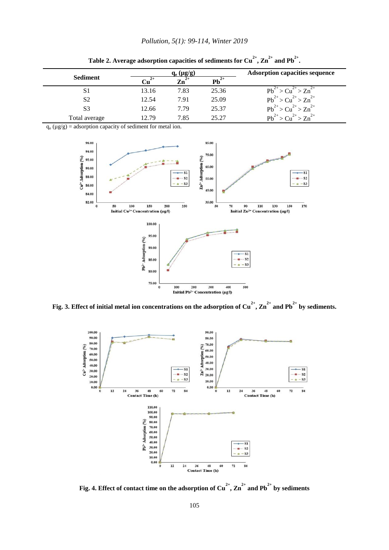|                 |       | $q_e$ (µg/g) |           | <b>Adsorption capacities sequence</b>                          |
|-----------------|-------|--------------|-----------|----------------------------------------------------------------|
| <b>Sediment</b> |       | $2+$<br>Zn   | $Pb^{2+}$ |                                                                |
| S <sub>1</sub>  | 13.16 | 7.83         | 25.36     | $\geq$ Cu <sup>2+</sup><br>$\bar{z} > Zn^2$<br>Ph <sup>2</sup> |
| S <sub>2</sub>  | 12.54 | 7.91         | 25.09     | $Pb^{2+} > Cu^{2+} > Zn^{2+}$                                  |
| S <sub>3</sub>  | 12.66 | 7.79         | 25.37     | $>Cu^{2+} > Zn^{2+}$<br>$Pb^{2+}$                              |
| Total average   | 12.79 | 7.85         | 25.27     | $2+$<br>$2+$<br>$> \text{Zn}^{2+}$<br>Ph                       |

Table 2. Average adsorption capacities of sediments for Cu<sup>2+</sup>, Zn<sup>2+</sup> and Pb<sup>2+</sup>.

 $q_e(\mu g/g)$  = adsorption capacity of sediment for metal ion.



**Fig. 3. Effect of initial metal ion concentrations on the adsorption of Cu2+, Zn2+ and Pb2+ by sediments.**



**Fig. 4. Effect of contact time on the adsorption of Cu2+, Zn2+ and Pb2+ by sediments**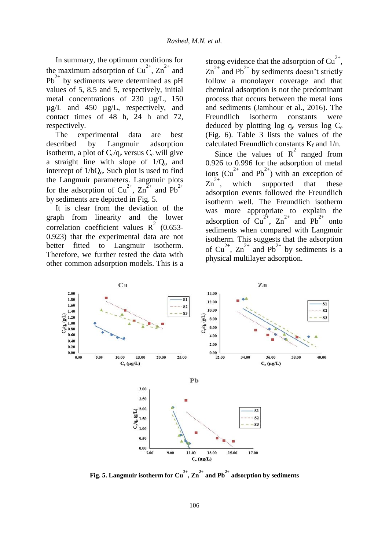In summary, the optimum conditions for the maximum adsorption of  $Cu^{2+}$ ,  $Zn^{2+}$  and  $Pb^{2+}$  by sediments were determined as pH values of 5, 8.5 and 5, respectively, initial metal concentrations of 230 µg/L, 150  $\mu$ g/L and 450  $\mu$ g/L, respectively, and contact times of 48 h, 24 h and 72, respectively.

The experimental data are best described by Langmuir adsorption isotherm, a plot of  $C_e/q_e$  versus  $C_e$  will give a straight line with slope of  $1/Q_0$  and intercept of  $1/bQ_0$ . Such plot is used to find the Langmuir parameters. Langmuir plots for the adsorption of  $Cu^{2+}$ ,  $Zn^{2+}$  and  $Pb^{2+}$ by sediments are depicted in Fig. 5.

It is clear from the deviation of the graph from linearity and the lower correlation coefficient values  $R^2$  (0.653-0.923) that the experimental data are not better fitted to Langmuir isotherm. Therefore, we further tested the data with other common adsorption models. This is a

strong evidence that the adsorption of  $Cu^{2+}$ ,  $\text{Zn}^{2+}$  and Pb<sup>2+</sup> by sediments doesn't strictly follow a monolayer coverage and that chemical adsorption is not the predominant process that occurs between the metal ions and sediments (Jamhour et al., 2016). The Freundlich isotherm constants were deduced by plotting log qe versus log Ce (Fig. 6). Table 3 lists the values of the calculated Freundlich constants  $K_f$  and  $1/n$ .

Since the values of  $R^2$  ranged from 0.926 to 0.996 for the adsorption of metal ions  $(Cu^{2+}$  and Pb<sup>2+</sup>) with an exception of  $\text{Zn}^{2+}$ , which supported that these adsorption events followed the Freundlich isotherm well. The Freundlich isotherm was more appropriate to explain the adsorption of  $Cu^{2+}$ ,  $Zn^{2+}$  and  $Pb^{2+}$  onto sediments when compared with Langmuir isotherm. This suggests that the adsorption of Cu<sup>2+</sup>,  $\overline{Zn}^{2+}$  and Pb<sup>2+</sup> by sediments is a physical multilayer adsorption.



**Fig. 5.** Langmuir isotherm for  $Cu^{2+}$ ,  $Zn^{2+}$  and  $Pb^{2+}$  adsorption by sediments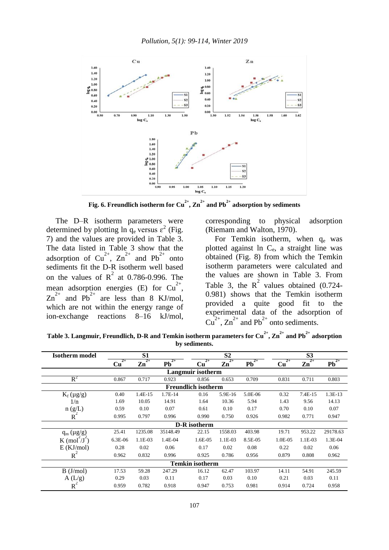

**Fig. 6. Freundlich isotherm for**  $Cu^{2+}$ **,**  $Zn^{2+}$  **and**  $Pb^{2+}$  **adsorption by sediments** 

The D–R isotherm parameters were determined by plotting  $\ln q_e$  versus  $\varepsilon^2$  (Fig. 7) and the values are provided in Table 3. The data listed in Table 3 show that the adsorption of  $Cu^{2+}$ ,  $Zn^{2+}$  and  $Pb^{2+}$  onto sediments fit the D-R isotherm well based on the values of  $R^2$  at 0.786-0.996. The mean adsorption energies (E) for  $Cu^{2+}$ ,  $\text{Zn}^{2+}$  and  $\text{Pb}^{2+}$  are less than 8 KJ/mol, which are not within the energy range of ion-exchange reactions 8–16 kJ/mol,

corresponding to physical adsorption (Riemam and Walton, 1970).

For Temkin isotherm, when  $q_e$  was plotted against ln Ce, a straight line was obtained (Fig. 8) from which the Temkin isotherm parameters were calculated and the values are shown in Table 3. From Table 3, the  $R^2$  values obtained (0.724-0.981) shows that the Temkin isotherm provided a quite good fit to the experimental data of the adsorption of  $Cu^{2+}$ ,  $Zn^{2+}$  and Pb<sup>2+</sup> onto sediments.

**Table 3. Langmuir, Freundlich, D-R and Temkin isotherm parameters for Cu2+, Zn2+ and Pb2+ adsorption by sediments.**

| <b>Isotherm</b> model                | S1                         |                         |            |              | S2                      |                |            | S <sub>3</sub>          |            |  |  |
|--------------------------------------|----------------------------|-------------------------|------------|--------------|-------------------------|----------------|------------|-------------------------|------------|--|--|
|                                      | $^{2+}$<br>Cu              | $2+$<br>$\mathbf{Zn}^2$ | $2+$<br>Pb | $2+$<br>Cu   | $2+$<br>$\mathbf{Zn}^2$ | $2+$<br>$Pb^2$ | $2+$<br>Cu | $2+$<br>$\mathbf{Zn}^2$ | $2+$<br>Pb |  |  |
|                                      | Langmuir isotherm          |                         |            |              |                         |                |            |                         |            |  |  |
| $R^2$                                | 0.867                      | 0.717                   | 0.923      | 0.856        | 0.653                   | 0.709          | 0.831      | 0.711                   | 0.803      |  |  |
|                                      | <b>Freundlich isotherm</b> |                         |            |              |                         |                |            |                         |            |  |  |
| $K_f(\mu g/g)$                       | 0.40                       | 1.4E-15                 | 1.7E-14    | 0.16         | 5.9E-16                 | 5.0E-06        | 0.32       | 7.4E-15                 | 1.3E-13    |  |  |
| 1/n                                  | 1.69                       | 10.05                   | 14.91      | 1.64         | 10.36                   | 5.94           | 1.43       | 9.56                    | 14.13      |  |  |
| $n\left(\frac{g}{R}\right)$<br>$R^2$ | 0.59                       | 0.10                    | 0.07       | 0.61         | 0.10                    | 0.17           | 0.70       | 0.10                    | 0.07       |  |  |
|                                      | 0.995                      | 0.797                   | 0.996      | 0.990        | 0.750                   | 0.926          | 0.982      | 0.771                   | 0.947      |  |  |
|                                      |                            |                         |            | D-R isotherm |                         |                |            |                         |            |  |  |
| $q_m(\mu g/g)$                       | 25.41                      | 1235.08                 | 35148.49   | 22.15        | 1558.03                 | 403.98         | 19.71      | 953.22                  | 29178.63   |  |  |
| $K \pmod{J}$                         | 6.3E-06                    | 1.1E-03                 | 1.4E-04    | 1.6E-05      | 1.1E-03                 | 8.5E-05        | 1.0E-05    | 1.1E-03                 | 1.3E-04    |  |  |
| $E$ (KJ/mol)                         | 0.28                       | 0.02                    | 0.06       | 0.17         | 0.02                    | 0.08           | 0.22       | 0.02                    | 0.06       |  |  |
| $R^2$                                | 0.962                      | 0.832                   | 0.996      | 0.925        | 0.786                   | 0.956          | 0.879      | 0.808                   | 0.962      |  |  |
| <b>Temkin isotherm</b>               |                            |                         |            |              |                         |                |            |                         |            |  |  |
| B (J/mol)                            | 17.53                      | 59.28                   | 247.29     | 16.12        | 62.47                   | 103.97         | 14.11      | 54.91                   | 245.59     |  |  |
| A(L/g)                               | 0.29                       | 0.03                    | 0.11       | 0.17         | 0.03                    | 0.10           | 0.21       | 0.03                    | 0.11       |  |  |
| R                                    | 0.959                      | 0.782                   | 0.918      | 0.947        | 0.753                   | 0.981          | 0.914      | 0.724                   | 0.958      |  |  |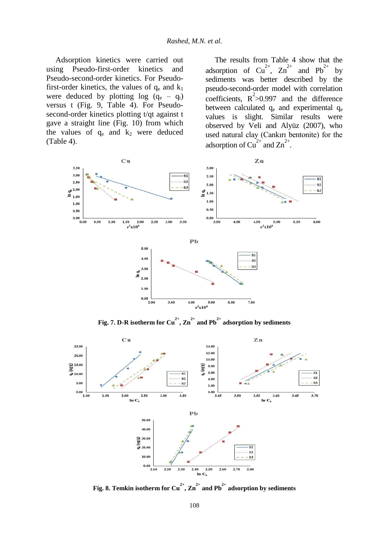Adsorption kinetics were carried out using Pseudo-first-order kinetics and Pseudo-second-order kinetics. For Pseudofirst-order kinetics, the values of  $q_e$  and  $k_1$ were deduced by plotting  $log (q_e - q_t)$ versus t (Fig. 9, Table 4). For Pseudosecond-order kinetics plotting t/qt against t gave a straight line (Fig. 10) from which the values of  $q_e$  and  $k_2$  were deduced (Table 4).

The results from Table 4 show that the adsorption of  $Cu^{2+}$ ,  $Zn^{2+}$  and  $Pb^{2+}$  by sediments was better described by the pseudo-second-order model with correlation coefficients,  $R^2 > 0.997$  and the difference between calculated  $q_e$  and experimental  $q_e$ values is slight. Similar results were observed by Veli and Alyüz (2007), who used natural clay (Cankırı bentonite) for the adsorption of  $Cu^{2+}$  and  $Zn^{2+}$ .



**Fig. 7. D-R isotherm for Cu<sup>2+</sup>,**  $\text{Zn}^{2+}$  **and Pb<sup>2+</sup> adsorption by sediments** 



**Fig. 8. Temkin isotherm for Cu<sup>2+</sup>, Zn<sup>2+</sup> and Pb<sup>2+</sup> adsorption by sediments**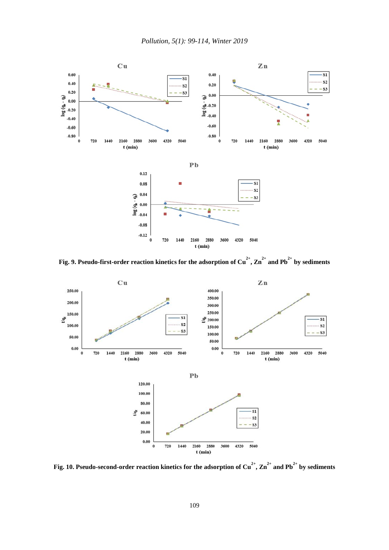

**Fig. 9. Pseudo-first-order reaction kinetics for the adsorption of Cu2+, Zn2+ and Pb2+ by sediments**



**Fig. 10. Pseudo-second-order reaction kinetics for the adsorption of Cu2+, Zn2+ and Pb2+ by sediments**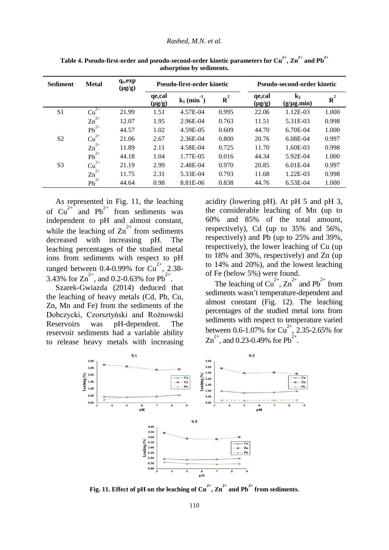| <b>Sediment</b> | <b>Metal</b>     | $q_e, exp$<br>$(\mu g/g)$ | Pseudo-first-order kinetic                                         |          |                       | Pseudo-second-order kinetic |            |       |  |
|-----------------|------------------|---------------------------|--------------------------------------------------------------------|----------|-----------------------|-----------------------------|------------|-------|--|
|                 |                  |                           | qe,cal<br>${\bf R}^2$<br>$k_1$ (min <sup>-1</sup> )<br>$(\mu g/g)$ |          | qe,cal<br>$(\mu g/g)$ | $k_2$<br>$(g/\mu g.min)$    | $R^2$      |       |  |
| S <sub>1</sub>  | $2+$<br>Cu       | 21.99                     | 1.51                                                               | 4.57E-04 | 0.995                 | 22.06                       | 1.12E-03   | 1.000 |  |
|                 | $\text{Zn}^{2+}$ | 12.07                     | 1.95                                                               | 2.96E-04 | 0.763                 | 11.51                       | 5.31E-03   | 0.998 |  |
|                 | $Pb^{2+}$        | 44.57                     | 1.02                                                               | 4.59E-05 | 0.609                 | 44.70                       | 6.70E-04   | 1.000 |  |
| S <sub>2</sub>  | $Cu^{2+}$        | 21.06                     | 2.67                                                               | 2.36E-04 | 0.800                 | 20.76                       | 6.08E-04   | 0.997 |  |
|                 | $\text{Zn}^{2+}$ | 11.89                     | 2.11                                                               | 4.58E-04 | 0.725                 | 11.70                       | 1.60E-03   | 0.998 |  |
|                 | $Pb^{2+}$        | 44.18                     | 1.04                                                               | 1.77E-05 | 0.016                 | 44.34                       | 5.92E-04   | 1.000 |  |
| S <sub>3</sub>  | $Cu^{2+}$        | 21.19                     | 2.99                                                               | 2.48E-04 | 0.970                 | 20.85                       | $6.01E-04$ | 0.997 |  |
|                 | $\text{Zn}^{2+}$ | 11.75                     | 2.31                                                               | 5.33E-04 | 0.793                 | 11.68                       | 1.22E-03   | 0.998 |  |
|                 | $Pb^{2+}$        | 44.64                     | 0.98                                                               | 8.81E-06 | 0.838                 | 44.76                       | $6.53E-04$ | 1.000 |  |

<code>Table 4. Pseudo-first-order and pseudo-second-order kinetic parameters for Cu  $^{2+}$ ,  $\text{Zn}^{2+}$  and Pb  $^{2+}$ </code> **adsorption by sediments.**

As represented in Fig. 11, the leaching of  $Cu^{2+}$  and Pb<sup>2+</sup> from sediments was independent to pH and almost constant, while the leaching of  $\text{Zn}^{2+}$  from sediments decreased with increasing pH. The leaching percentages of the studied metal ions from sediments with respect to pH ranged between 0.4-0.99% for  $Cu^{2+}$ , 2.38-3.43% for  $\text{Zn}^{2+}$ , and 0.2-0.63% for Pb<sup>2+</sup>.

Szarek-Gwiazda (2014) deduced that the leaching of heavy metals (Cd, Pb, Cu, Zn, Mn and Fe) from the sediments of the Dobczycki, Czorsztyński and Rożnowski Reservoirs was pH-dependent. The reservoir sediments had a variable ability to release heavy metals with increasing acidity (lowering pH). At pH 5 and pH 3, the considerable leaching of Mn (up to 60% and 85% of the total amount, respectively), Cd (up to 35% and 56%, respectively) and Pb (up to 25% and 39%, respectively), the lower leaching of Cu (up to 18% and 30%, respectively) and Zn (up to 14% and 20%), and the lowest leaching of Fe (below 5%) were found.

The leaching of  $Cu^{2+}$ ,  $Zn^{2+}$  and  $Pb^{2+}$  from sediments wasn't temperature-dependent and almost constant (Fig. 12). The leaching percentages of the studied metal ions from sediments with respect to temperature varied between 0.6-1.07% for  $Cu^{2+}$ , 2.35-2.65% for  $\text{Zn}^{2+}$ , and 0.23-0.49% for Pb<sup>2+</sup>.



**Fig. 11. Effect of pH on the leaching of**  $Cu^{2+}$ **,**  $Zn^{2+}$  **and**  $Pb^{2+}$  **from sediments.**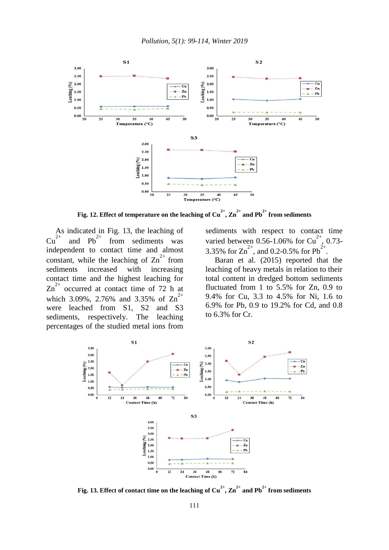

**Fig. 12. Effect of temperature on the leaching of Cu2+, Zn2+ and Pb2+ from sediments**

As indicated in Fig. 13, the leaching of  $Cu^{2+}$  and Pb<sup>2+</sup> from sediments was independent to contact time and almost constant, while the leaching of  $Zn^{2+}$  from sediments increased with increasing contact time and the highest leaching for  $\text{Zn}^{2+}$  occurred at contact time of 72 h at which 3.09%, 2.76% and 3.35% of  $\text{Zn}^{2+}$ were leached from S1, S2 and S3 sediments, respectively. The leaching percentages of the studied metal ions from

sediments with respect to contact time varied between 0.56-1.06% for  $Cu^{2+}$ , 0.73-3.35% for  $\text{Zn}^{2+}$ , and 0.2-0.5% for Pb<sup>2+</sup>.

Baran et al. (2015) reported that the leaching of heavy metals in relation to their total content in dredged bottom sediments fluctuated from 1 to 5.5% for Zn, 0.9 to 9.4% for Cu, 3.3 to 4.5% for Ni, 1.6 to 6.9% for Pb, 0.9 to 19.2% for Cd, and 0.8 to 6.3% for Cr.



**Fig. 13. Effect of contact time on the leaching of**  $Cu^{2+}$ **,**  $Zn^{2+}$  **and Pb<sup>2+</sup> from sediments**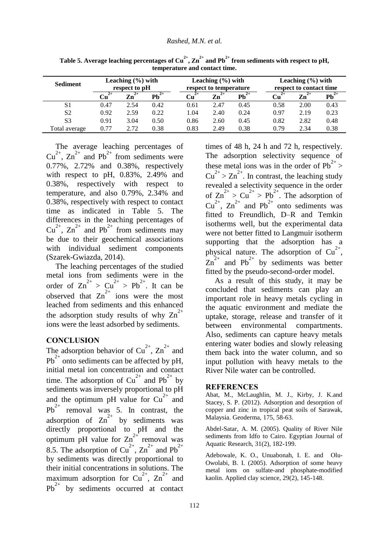| <b>Sediment</b> | Leaching $(\% )$ with<br>respect to pH |            | Leaching $(\% )$ with<br>respect to temperature |      |               | Leaching $(\% )$ with<br>respect to contact time |      |      |                                        |
|-----------------|----------------------------------------|------------|-------------------------------------------------|------|---------------|--------------------------------------------------|------|------|----------------------------------------|
|                 | $^{2+}$<br>$\mathbf{u}$                | $2+$<br>Zn | $\overline{\mathbf{Pb}}^{2+}$                   | Cп   | $^{2+}$<br>Zn | $\overline{\mathbf{Pb}}^{2+}$                    | Cп   | Zn   | $\overline{\mathbf{P}}\mathbf{b}^{2+}$ |
| S1              | 0.47                                   | 2.54       | 0.42                                            | 0.61 | 2.47          | 0.45                                             | 0.58 | 2.00 | 0.43                                   |
| S <sub>2</sub>  | 0.92                                   | 2.59       | 0.22                                            | 1.04 | 2.40          | 0.24                                             | 0.97 | 2.19 | 0.23                                   |
| S <sub>3</sub>  | 0.91                                   | 3.04       | 0.50                                            | 0.86 | 2.60          | 0.45                                             | 0.82 | 2.82 | 0.48                                   |
| Total average   | 0.77                                   | 2.72       | 0.38                                            | 0.83 | 2.49          | 0.38                                             | 0.79 | 2.34 | 0.38                                   |

**Table 5. Average leaching percentages of Cu2+, Zn2+ and Pb2+ from sediments with respect to pH, temperature and contact time.**

The average leaching percentages of  $Cu^{2+}$ ,  $Zn^{2+}$  and Pb<sup>2+</sup> from sediments were 0.77%, 2.72% and 0.38%, respectively with respect to pH, 0.83%, 2.49% and 0.38%, respectively with respect to temperature, and also 0.79%, 2.34% and 0.38%, respectively with respect to contact time as indicated in Table 5. The differences in the leaching percentages of  $Cu^{2+}$ ,  $Zn^{2+}$  and Pb<sup>2+</sup> from sediments may be due to their geochemical associations with individual sediment components (Szarek-Gwiazda, 2014).

The leaching percentages of the studied metal ions from sediments were in the order of  $\text{Zn}^{2+} > \text{Cu}^{2+} > \text{Pb}^{2+}$ . It can be observed that  $\text{Zn}^{2+}$  ions were the most leached from sediments and this enhanced the adsorption study results of why  $\text{Zn}^{2+}$ ions were the least adsorbed by sediments.

# **CONCLUSION**

The adsorption behavior of  $Cu^{2+}$ ,  $Zn^{2+}$  and  $Pb^{2+}$  onto sediments can be affected by pH, initial metal ion concentration and contact time. The adsorption of  $Cu^{2+}$  and Pb<sup>2+</sup> by sediments was inversely proportional to pH and the optimum pH value for  $Cu^{2+}$  and  $Pb^{2+}$  removal was 5. In contrast, the adsorption of  $\text{Zn}^{2+}$  by sediments was directly proportional to pH and the optimum pH value for  $\text{Zn}^{2+}$  removal was 8.5. The adsorption of Cu<sup>2+</sup>,  $\text{Zn}^{2+}$  and Pb<sup>2+</sup> by sediments was directly proportional to their initial concentrations in solutions. The maximum adsorption for  $Cu^{2+}$ ,  $Zn^{2+}$  and  $Pb^{2+}$  by sediments occurred at contact

times of 48 h, 24 h and 72 h, respectively. The adsorption selectivity sequence of these metal ions was in the order of  $Pb^{2+}$  $Cu^{2+} > Zn^{2+}$ . In contrast, the leaching study revealed a selectivity sequence in the order of  $\text{Zn}^{2+} > \text{Cu}^{2+} > \text{Pb}^{2+}$ . The adsorption of  $Cu^{2+}$ ,  $Zn^{2+}$  and Pb<sup>2+</sup> onto sediments was fitted to Freundlich, D–R and Temkin isotherms well, but the experimental data were not better fitted to Langmuir isotherm supporting that the adsorption has a physical nature. The adsorption of  $Cu^{2+}$ ,  $\overline{Zn}^{2+}$  and Pb<sup>2+</sup> by sediments was better fitted by the pseudo-second-order model.

As a result of this study, it may be concluded that sediments can play an important role in heavy metals cycling in the aquatic environment and mediate the uptake, storage, release and transfer of it between environmental compartments. Also, sediments can capture heavy metals entering water bodies and slowly releasing them back into the water column, and so input pollution with heavy metals to the River Nile water can be controlled.

#### **REFERENCES**

Abat, M., McLaughlin, M. J., Kirby, J. K.and Stacey, S. P. (2012). Adsorption and desorption of copper and zinc in tropical peat soils of Sarawak, Malaysia. Geoderma, 175, 58-63.

Abdel-Satar, A. M. (2005). Quality of River Nile sediments from Idfo to Cairo. Egyptian Journal of Aquatic Research, 31(2), 182-199.

Adebowale, K. O., Unuabonah, I. E. and Olu-Owolabi, B. I. (2005). Adsorption of some heavy metal ions on sulfate-and phosphate-modified kaolin. Applied clay science, 29(2), 145-148.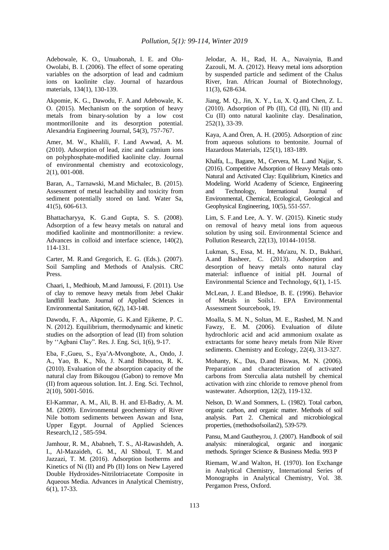Adebowale, K. O., Unuabonah, I. E. and Olu-Owolabi, B. I. (2006). The effect of some operating variables on the adsorption of lead and cadmium ions on kaolinite clay. Journal of hazardous materials, 134(1), 130-139.

Akpomie, K. G., Dawodu, F. A.and Adebowale, K. O. (2015). Mechanism on the sorption of heavy metals from binary-solution by a low cost montmorillonite and its desorption potential. Alexandria Engineering Journal, 54(3), 757-767.

Amer, M. W., Khalili, F. I.and Awwad, A. M. (2010). Adsorption of lead, zinc and cadmium ions on polyphosphate-modified kaolinite clay. Journal of environmental chemistry and ecotoxicology, 2(1), 001-008.

Baran, A., Tarnawski, M.and Michalec, B. (2015). Assessment of metal leachability and toxicity from sediment potentially stored on land. Water Sa, 41(5), 606-613.

Bhattacharyya, K. G.and Gupta, S. S. (2008). Adsorption of a few heavy metals on natural and modified kaolinite and montmorillonite: a review. Advances in colloid and interface science, 140(2), 114-131.

Carter, M. R.and Gregorich, E. G. (Eds.). (2007). Soil Sampling and Methods of Analysis. CRC Press.

Chaari, I., Medhioub, M.and Jamoussi, F. (2011). Use of clay to remove heavy metals from Jebel Chakir landfill leachate. Journal of Applied Sciences in Environmental Sanitation, 6(2), 143-148.

Dawodu, F. A., Akpomie, G. K.and Ejikeme, P. C. N. (2012). Equilibrium, thermodynamic and kinetic studies on the adsorption of lead (II) from solution by ''Agbani Clay". Res. J. Eng. Sci, 1(6), 9-17.

Eba, F.,Gueu, S., Eya'A-Mvongbote, A., Ondo, J. A., Yao, B. K., Nlo, J. N.and Biboutou, R. K. (2010). Evaluation of the absorption capacity of the natural clay from Bikougou (Gabon) to remove Mn (II) from aqueous solution. Int. J. Eng. Sci. Technol, 2(10), 5001-5016.

El-Kammar, A. M., Ali, B. H. and El-Badry, A. M. M. (2009). Environmental geochemistry of River Nile bottom sediments between Aswan and Isna, Upper Egypt. Journal of Applied Sciences Research,12 , 585-594.

Jamhour, R. M., Ababneh, T. S., Al-Rawashdeh, A. I., Al-Mazaideh, G. M., Al Shboul, T. M.and Jazzazi, T. M. (2016). Adsorption Isotherms and Kinetics of Ni (II) and Pb (II) Ions on New Layered Double Hydroxides-Nitrilotriacetate Composite in Aqueous Media. Advances in Analytical Chemistry, 6(1), 17-33.

Jelodar, A. H., Rad, H. A., Navaiynia, B.and Zazouli, M. A. (2012). Heavy metal ions adsorption by suspended particle and sediment of the Chalus River, Iran. African Journal of Biotechnology, 11(3), 628-634.

Jiang, M. Q., Jin, X. Y., Lu, X. Q.and Chen, Z. L. (2010). Adsorption of Pb (II), Cd (II), Ni (II) and Cu (II) onto natural kaolinite clay. Desalination, 252(1), 33-39.

Kaya, A.and Ören, A. H. (2005). Adsorption of zinc from aqueous solutions to bentonite. Journal of Hazardous Materials, 125(1), 183-189.

Khalfa, L., Bagane, M., Cervera, M. L.and Najjar, S. (2016). Competitive Adsorption of Heavy Metals onto Natural and Activated Clay: Equilibrium, Kinetics and Modeling. World Academy of Science, Engineering and Technology, International Journal of Environmental, Chemical, Ecological, Geological and Geophysical Engineering, 10(5), 551-557.

Lim, S. F.and Lee, A. Y. W. (2015). Kinetic study on removal of heavy metal ions from aqueous solution by using soil. Environmental Science and Pollution Research, 22(13), 10144-10158.

Lukman, S., Essa, M. H., Mu'azu, N. D., Bukhari, A.and Basheer, C. (2013). Adsorption and desorption of heavy metals onto natural clay material: influence of initial pH. Journal of Environmental Science and Technology, 6(1), 1-15.

McLean, J. E.and Bledsoe, B. E. (1996). Behavior of Metals in Soils1. EPA Environmental Assessment Sourcebook, 19.

Moalla, S. M. N., Soltan, M. E., Rashed, M. N.and Fawzy, E. M. (2006). Evaluation of dilute hydrochloric acid and acid ammonium oxalate as extractants for some heavy metals from Nile River sediments. Chemistry and Ecology, 22(4), 313-327.

Mohanty, K., Das, D.and Biswas, M. N. (2006). Preparation and characterization of activated carbons from Sterculia alata nutshell by chemical activation with zinc chloride to remove phenol from wastewater. Adsorption, 12(2), 119-132.

Nelson, D. W.and Sommers, L. (1982). Total carbon, organic carbon, and organic matter. Methods of soil analysis. Part 2. Chemical and microbiological properties, (methodsofsoilan2), 539-579.

Pansu, M.and Gautheyrou, J. (2007). Handbook of soil analysis: mineralogical, organic and inorganic methods. Springer Science & Business Media. 993 P

Riemam, W.and Walton, H. (1970). Ion Exchange in Analytical Chemistry, International Series of Monographs in Analytical Chemistry, Vol. 38. Pergamon Press, Oxford.